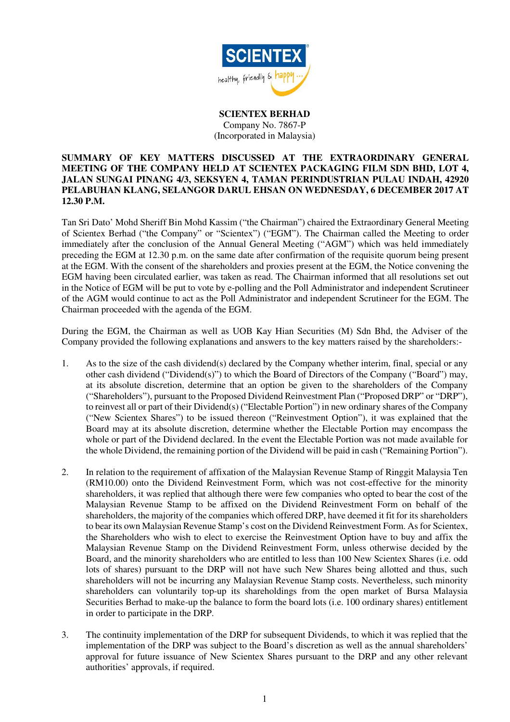

**SCIENTEX BERHAD**  Company No. 7867-P (Incorporated in Malaysia)

## **SUMMARY OF KEY MATTERS DISCUSSED AT THE EXTRAORDINARY GENERAL MEETING OF THE COMPANY HELD AT SCIENTEX PACKAGING FILM SDN BHD, LOT 4, JALAN SUNGAI PINANG 4/3, SEKSYEN 4, TAMAN PERINDUSTRIAN PULAU INDAH, 42920 PELABUHAN KLANG, SELANGOR DARUL EHSAN ON WEDNESDAY, 6 DECEMBER 2017 AT 12.30 P.M.**

Tan Sri Dato' Mohd Sheriff Bin Mohd Kassim ("the Chairman") chaired the Extraordinary General Meeting of Scientex Berhad ("the Company" or "Scientex") ("EGM"). The Chairman called the Meeting to order immediately after the conclusion of the Annual General Meeting ("AGM") which was held immediately preceding the EGM at 12.30 p.m. on the same date after confirmation of the requisite quorum being present at the EGM. With the consent of the shareholders and proxies present at the EGM, the Notice convening the EGM having been circulated earlier, was taken as read. The Chairman informed that all resolutions set out in the Notice of EGM will be put to vote by e-polling and the Poll Administrator and independent Scrutineer of the AGM would continue to act as the Poll Administrator and independent Scrutineer for the EGM. The Chairman proceeded with the agenda of the EGM.

During the EGM, the Chairman as well as UOB Kay Hian Securities (M) Sdn Bhd, the Adviser of the Company provided the following explanations and answers to the key matters raised by the shareholders:-

- 1. As to the size of the cash dividend(s) declared by the Company whether interim, final, special or any other cash dividend ("Dividend(s)") to which the Board of Directors of the Company ("Board") may, at its absolute discretion, determine that an option be given to the shareholders of the Company ("Shareholders"), pursuant to the Proposed Dividend Reinvestment Plan ("Proposed DRP" or "DRP"), to reinvest all or part of their Dividend(s) ("Electable Portion") in new ordinary shares of the Company ("New Scientex Shares") to be issued thereon ("Reinvestment Option"), it was explained that the Board may at its absolute discretion, determine whether the Electable Portion may encompass the whole or part of the Dividend declared. In the event the Electable Portion was not made available for the whole Dividend, the remaining portion of the Dividend will be paid in cash ("Remaining Portion").
- 2. In relation to the requirement of affixation of the Malaysian Revenue Stamp of Ringgit Malaysia Ten (RM10.00) onto the Dividend Reinvestment Form, which was not cost-effective for the minority shareholders, it was replied that although there were few companies who opted to bear the cost of the Malaysian Revenue Stamp to be affixed on the Dividend Reinvestment Form on behalf of the shareholders, the majority of the companies which offered DRP, have deemed it fit for its shareholders to bear its own Malaysian Revenue Stamp's cost on the Dividend Reinvestment Form. As for Scientex, the Shareholders who wish to elect to exercise the Reinvestment Option have to buy and affix the Malaysian Revenue Stamp on the Dividend Reinvestment Form, unless otherwise decided by the Board, and the minority shareholders who are entitled to less than 100 New Scientex Shares (i.e. odd lots of shares) pursuant to the DRP will not have such New Shares being allotted and thus, such shareholders will not be incurring any Malaysian Revenue Stamp costs. Nevertheless, such minority shareholders can voluntarily top-up its shareholdings from the open market of Bursa Malaysia Securities Berhad to make-up the balance to form the board lots (i.e. 100 ordinary shares) entitlement in order to participate in the DRP.
- 3. The continuity implementation of the DRP for subsequent Dividends, to which it was replied that the implementation of the DRP was subject to the Board's discretion as well as the annual shareholders' approval for future issuance of New Scientex Shares pursuant to the DRP and any other relevant authorities' approvals, if required.